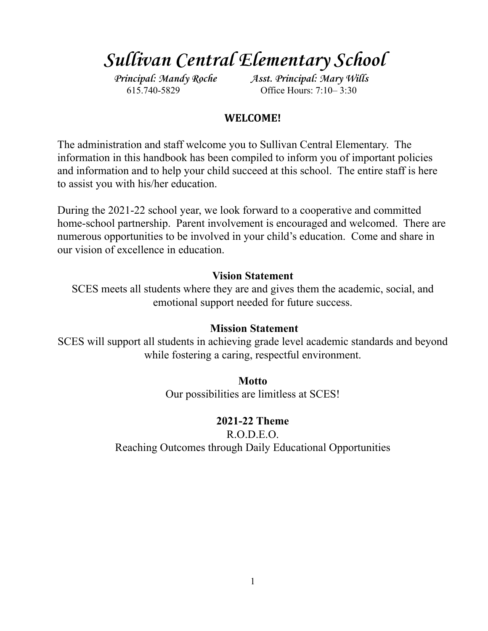# **Sullivan Central Elementary School**

**Principal: Mandy Roche Asst. Principal: Mary Wills** 615.740-5829 Office Hours: 7:10– 3:30

# **WELCOME!**

The administration and staff welcome you to Sullivan Central Elementary. The information in this handbook has been compiled to inform you of important policies and information and to help your child succeed at this school. The entire staff is here to assist you with his/her education.

During the 2021-22 school year, we look forward to a cooperative and committed home-school partnership. Parent involvement is encouraged and welcomed. There are numerous opportunities to be involved in your child's education. Come and share in our vision of excellence in education.

# **Vision Statement**

SCES meets all students where they are and gives them the academic, social, and emotional support needed for future success.

# **Mission Statement**

SCES will support all students in achieving grade level academic standards and beyond while fostering a caring, respectful environment.

**Motto**

Our possibilities are limitless at SCES!

**2021-22 Theme**

R.O.D.E.O. Reaching Outcomes through Daily Educational Opportunities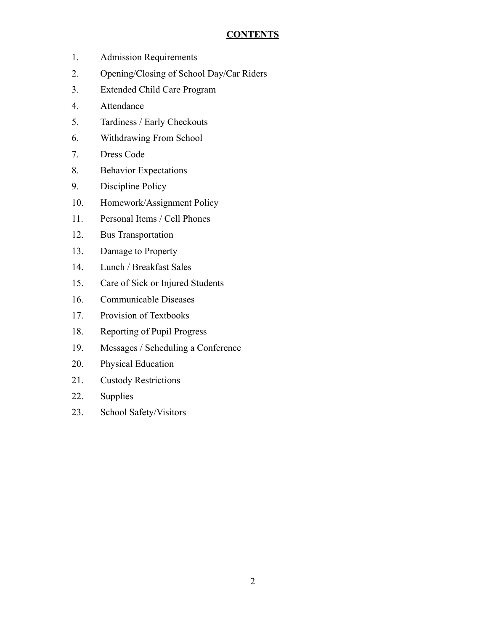# **CONTENTS**

- 1. Admission Requirements
- 2. Opening/Closing of School Day/Car Riders
- 3. Extended Child Care Program
- 4. Attendance
- 5. Tardiness / Early Checkouts
- 6. Withdrawing From School
- 7. Dress Code
- 8. Behavior Expectations
- 9. Discipline Policy
- 10. Homework/Assignment Policy
- 11. Personal Items / Cell Phones
- 12. Bus Transportation
- 13. Damage to Property
- 14. Lunch / Breakfast Sales
- 15. Care of Sick or Injured Students
- 16. Communicable Diseases
- 17. Provision of Textbooks
- 18. Reporting of Pupil Progress
- 19. Messages / Scheduling a Conference
- 20. Physical Education
- 21. Custody Restrictions
- 22. Supplies
- 23. School Safety/Visitors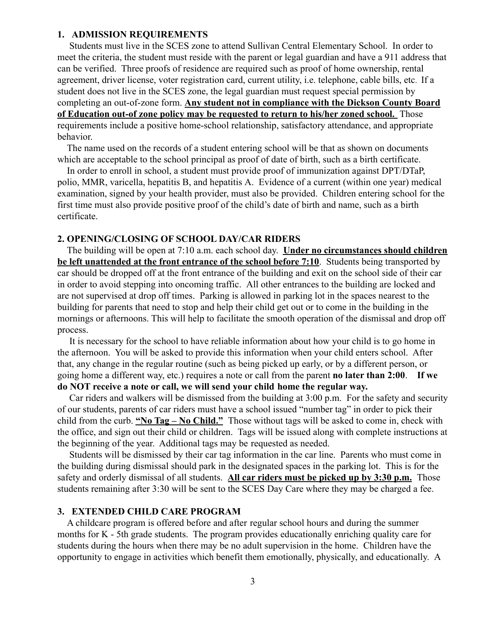#### **1. ADMISSION REQUIREMENTS**

Students must live in the SCES zone to attend Sullivan Central Elementary School. In order to meet the criteria, the student must reside with the parent or legal guardian and have a 911 address that can be verified. Three proofs of residence are required such as proof of home ownership, rental agreement, driver license, voter registration card, current utility, i.e. telephone, cable bills, etc. If a student does not live in the SCES zone, the legal guardian must request special permission by completing an out-of-zone form. **Any student not in compliance with the Dickson County Board of Education out-of zone policy may be requested to return to his/her zoned school.** Those requirements include a positive home-school relationship, satisfactory attendance, and appropriate behavior.

The name used on the records of a student entering school will be that as shown on documents which are acceptable to the school principal as proof of date of birth, such as a birth certificate.

In order to enroll in school, a student must provide proof of immunization against DPT/DTaP, polio, MMR, varicella, hepatitis B, and hepatitis A. Evidence of a current (within one year) medical examination, signed by your health provider, must also be provided. Children entering school for the first time must also provide positive proof of the child's date of birth and name, such as a birth certificate.

#### **2. OPENING/CLOSING OF SCHOOL DAY/CAR RIDERS**

The building will be open at 7:10 a.m. each school day. **Under no circumstances should children be left unattended at the front entrance of the school before 7:10**. Students being transported by car should be dropped off at the front entrance of the building and exit on the school side of their car in order to avoid stepping into oncoming traffic. All other entrances to the building are locked and are not supervised at drop off times. Parking is allowed in parking lot in the spaces nearest to the building for parents that need to stop and help their child get out or to come in the building in the mornings or afternoons. This will help to facilitate the smooth operation of the dismissal and drop off process.

It is necessary for the school to have reliable information about how your child is to go home in the afternoon. You will be asked to provide this information when your child enters school. After that, any change in the regular routine (such as being picked up early, or by a different person, or going home a different way, etc.) requires a note or call from the parent **no later than 2:00**. **If we do NOT receive a note or call, we will send your child home the regular way.**

Car riders and walkers will be dismissed from the building at 3:00 p.m. For the safety and security of our students, parents of car riders must have a school issued "number tag" in order to pick their child from the curb. **"No Tag – No Child."** Those without tags will be asked to come in, check with the office, and sign out their child or children. Tags will be issued along with complete instructions at the beginning of the year. Additional tags may be requested as needed.

Students will be dismissed by their car tag information in the car line. Parents who must come in the building during dismissal should park in the designated spaces in the parking lot. This is for the safety and orderly dismissal of all students. **All car riders must be picked up by 3:30 p.m.** Those students remaining after 3:30 will be sent to the SCES Day Care where they may be charged a fee.

#### **3. EXTENDED CHILD CARE PROGRAM**

A childcare program is offered before and after regular school hours and during the summer months for K - 5th grade students. The program provides educationally enriching quality care for students during the hours when there may be no adult supervision in the home. Children have the opportunity to engage in activities which benefit them emotionally, physically, and educationally. A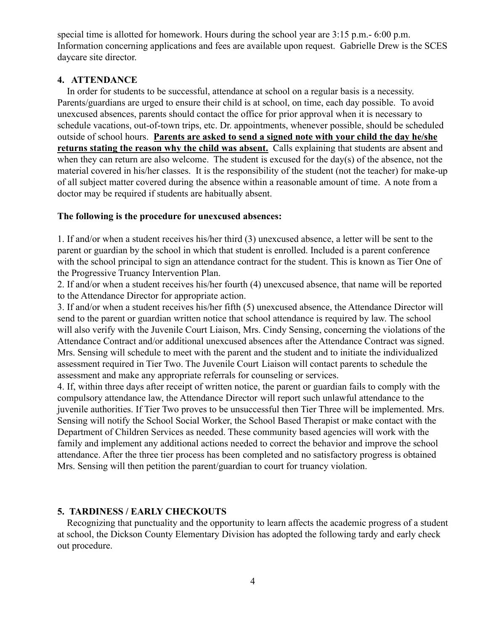special time is allotted for homework. Hours during the school year are 3:15 p.m.- 6:00 p.m. Information concerning applications and fees are available upon request. Gabrielle Drew is the SCES daycare site director.

## **4. ATTENDANCE**

In order for students to be successful, attendance at school on a regular basis is a necessity. Parents/guardians are urged to ensure their child is at school, on time, each day possible. To avoid unexcused absences, parents should contact the office for prior approval when it is necessary to schedule vacations, out-of-town trips, etc. Dr. appointments, whenever possible, should be scheduled outside of school hours. **Parents are asked to send a signed note with your child the day he/she returns stating the reason why the child was absent.** Calls explaining that students are absent and when they can return are also welcome. The student is excused for the day(s) of the absence, not the material covered in his/her classes. It is the responsibility of the student (not the teacher) for make-up of all subject matter covered during the absence within a reasonable amount of time. A note from a doctor may be required if students are habitually absent.

## **The following is the procedure for unexcused absences:**

1. If and/or when a student receives his/her third (3) unexcused absence, a letter will be sent to the parent or guardian by the school in which that student is enrolled. Included is a parent conference with the school principal to sign an attendance contract for the student. This is known as Tier One of the Progressive Truancy Intervention Plan.

2. If and/or when a student receives his/her fourth (4) unexcused absence, that name will be reported to the Attendance Director for appropriate action.

3. If and/or when a student receives his/her fifth (5) unexcused absence, the Attendance Director will send to the parent or guardian written notice that school attendance is required by law. The school will also verify with the Juvenile Court Liaison, Mrs. Cindy Sensing, concerning the violations of the Attendance Contract and/or additional unexcused absences after the Attendance Contract was signed. Mrs. Sensing will schedule to meet with the parent and the student and to initiate the individualized assessment required in Tier Two. The Juvenile Court Liaison will contact parents to schedule the assessment and make any appropriate referrals for counseling or services.

4. If, within three days after receipt of written notice, the parent or guardian fails to comply with the compulsory attendance law, the Attendance Director will report such unlawful attendance to the juvenile authorities. If Tier Two proves to be unsuccessful then Tier Three will be implemented. Mrs. Sensing will notify the School Social Worker, the School Based Therapist or make contact with the Department of Children Services as needed. These community based agencies will work with the family and implement any additional actions needed to correct the behavior and improve the school attendance. After the three tier process has been completed and no satisfactory progress is obtained Mrs. Sensing will then petition the parent/guardian to court for truancy violation.

## **5. TARDINESS / EARLY CHECKOUTS**

Recognizing that punctuality and the opportunity to learn affects the academic progress of a student at school, the Dickson County Elementary Division has adopted the following tardy and early check out procedure.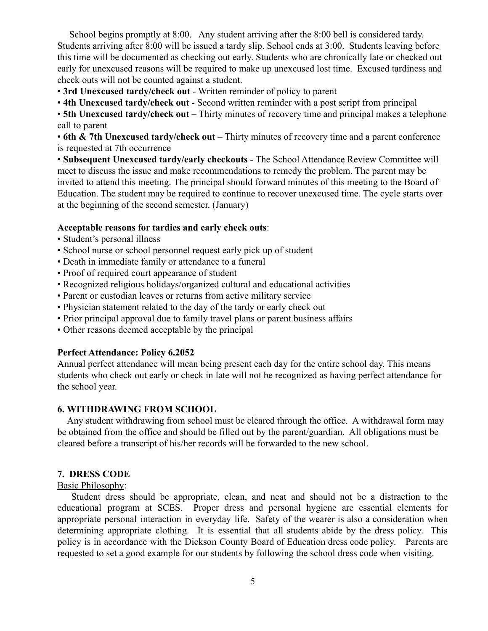School begins promptly at 8:00. Any student arriving after the 8:00 bell is considered tardy. Students arriving after 8:00 will be issued a tardy slip. School ends at 3:00. Students leaving before this time will be documented as checking out early. Students who are chronically late or checked out early for unexcused reasons will be required to make up unexcused lost time. Excused tardiness and check outs will not be counted against a student.

• **3rd Unexcused tardy/check out** - Written reminder of policy to parent

• **4th Unexcused tardy/check out** - Second written reminder with a post script from principal

• **5th Unexcused tardy/check out** – Thirty minutes of recovery time and principal makes a telephone call to parent

• **6th & 7th Unexcused tardy/check out** – Thirty minutes of recovery time and a parent conference is requested at 7th occurrence

• **Subsequent Unexcused tardy/early checkouts** - The School Attendance Review Committee will meet to discuss the issue and make recommendations to remedy the problem. The parent may be invited to attend this meeting. The principal should forward minutes of this meeting to the Board of Education. The student may be required to continue to recover unexcused time. The cycle starts over at the beginning of the second semester. (January)

#### **Acceptable reasons for tardies and early check outs**:

- Student's personal illness
- School nurse or school personnel request early pick up of student
- Death in immediate family or attendance to a funeral
- Proof of required court appearance of student
- Recognized religious holidays/organized cultural and educational activities
- Parent or custodian leaves or returns from active military service
- Physician statement related to the day of the tardy or early check out
- Prior principal approval due to family travel plans or parent business affairs
- Other reasons deemed acceptable by the principal

#### **Perfect Attendance: Policy 6.2052**

Annual perfect attendance will mean being present each day for the entire school day. This means students who check out early or check in late will not be recognized as having perfect attendance for the school year.

## **6. WITHDRAWING FROM SCHOOL**

Any student withdrawing from school must be cleared through the office. A withdrawal form may be obtained from the office and should be filled out by the parent/guardian. All obligations must be cleared before a transcript of his/her records will be forwarded to the new school.

#### **7. DRESS CODE**

## Basic Philosophy:

Student dress should be appropriate, clean, and neat and should not be a distraction to the educational program at SCES. Proper dress and personal hygiene are essential elements for appropriate personal interaction in everyday life. Safety of the wearer is also a consideration when determining appropriate clothing. It is essential that all students abide by the dress policy. This policy is in accordance with the Dickson County Board of Education dress code policy. Parents are requested to set a good example for our students by following the school dress code when visiting.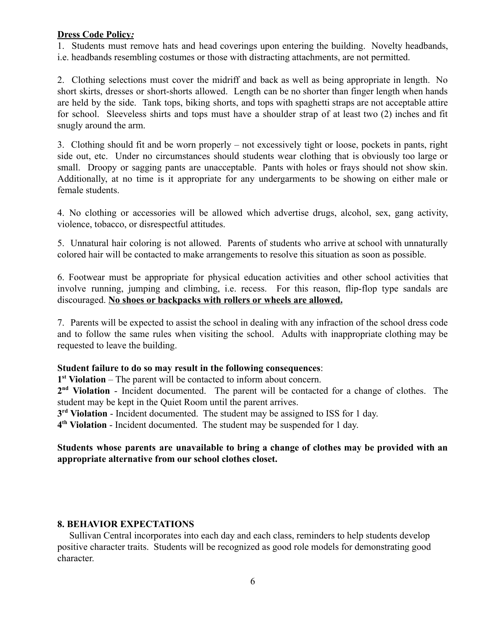## **Dress Code Policy***:*

1. Students must remove hats and head coverings upon entering the building. Novelty headbands, i.e. headbands resembling costumes or those with distracting attachments, are not permitted.

2. Clothing selections must cover the midriff and back as well as being appropriate in length. No short skirts, dresses or short-shorts allowed. Length can be no shorter than finger length when hands are held by the side. Tank tops, biking shorts, and tops with spaghetti straps are not acceptable attire for school. Sleeveless shirts and tops must have a shoulder strap of at least two (2) inches and fit snugly around the arm.

3. Clothing should fit and be worn properly – not excessively tight or loose, pockets in pants, right side out, etc. Under no circumstances should students wear clothing that is obviously too large or small. Droopy or sagging pants are unacceptable. Pants with holes or frays should not show skin. Additionally, at no time is it appropriate for any undergarments to be showing on either male or female students.

4. No clothing or accessories will be allowed which advertise drugs, alcohol, sex, gang activity, violence, tobacco, or disrespectful attitudes.

5. Unnatural hair coloring is not allowed. Parents of students who arrive at school with unnaturally colored hair will be contacted to make arrangements to resolve this situation as soon as possible.

6. Footwear must be appropriate for physical education activities and other school activities that involve running, jumping and climbing, i.e. recess. For this reason, flip-flop type sandals are discouraged. **No shoes or backpacks with rollers or wheels are allowed.**

7. Parents will be expected to assist the school in dealing with any infraction of the school dress code and to follow the same rules when visiting the school. Adults with inappropriate clothing may be requested to leave the building.

## **Student failure to do so may result in the following consequences**:

**1 st Violation** – The parent will be contacted to inform about concern.

2<sup>nd</sup> Violation - Incident documented. The parent will be contacted for a change of clothes. The student may be kept in the Quiet Room until the parent arrives.

**3<sup>rd</sup> Violation** - Incident documented. The student may be assigned to ISS for 1 day.

**4 th Violation** - Incident documented. The student may be suspended for 1 day.

## **Students whose parents are unavailable to bring a change of clothes may be provided with an appropriate alternative from our school clothes closet.**

## **8. BEHAVIOR EXPECTATIONS**

Sullivan Central incorporates into each day and each class, reminders to help students develop positive character traits. Students will be recognized as good role models for demonstrating good character.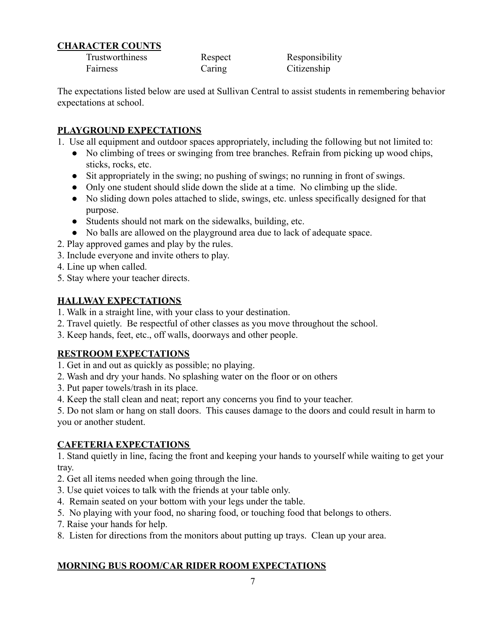# **CHARACTER COUNTS**

Trustworthiness Respect Responsibility Fairness Caring Citizenship

The expectations listed below are used at Sullivan Central to assist students in remembering behavior expectations at school.

# **PLAYGROUND EXPECTATIONS**

- 1. Use all equipment and outdoor spaces appropriately, including the following but not limited to:
	- No climbing of trees or swinging from tree branches. Refrain from picking up wood chips, sticks, rocks, etc.
	- Sit appropriately in the swing; no pushing of swings; no running in front of swings.
	- Only one student should slide down the slide at a time. No climbing up the slide.
	- No sliding down poles attached to slide, swings, etc. unless specifically designed for that purpose.
	- Students should not mark on the sidewalks, building, etc.
	- No balls are allowed on the playground area due to lack of adequate space.
- 2. Play approved games and play by the rules.
- 3. Include everyone and invite others to play.
- 4. Line up when called.
- 5. Stay where your teacher directs.

# **HALLWAY EXPECTATIONS**

- 1. Walk in a straight line, with your class to your destination.
- 2. Travel quietly. Be respectful of other classes as you move throughout the school.
- 3. Keep hands, feet, etc., off walls, doorways and other people.

# **RESTROOM EXPECTATIONS**

- 1. Get in and out as quickly as possible; no playing.
- 2. Wash and dry your hands. No splashing water on the floor or on others
- 3. Put paper towels/trash in its place.
- 4. Keep the stall clean and neat; report any concerns you find to your teacher.

5. Do not slam or hang on stall doors. This causes damage to the doors and could result in harm to you or another student.

# **CAFETERIA EXPECTATIONS**

1. Stand quietly in line, facing the front and keeping your hands to yourself while waiting to get your tray.

- 2. Get all items needed when going through the line.
- 3. Use quiet voices to talk with the friends at your table only.
- 4. Remain seated on your bottom with your legs under the table.
- 5. No playing with your food, no sharing food, or touching food that belongs to others.
- 7. Raise your hands for help.
- 8. Listen for directions from the monitors about putting up trays. Clean up your area.

# **MORNING BUS ROOM/CAR RIDER ROOM EXPECTATIONS**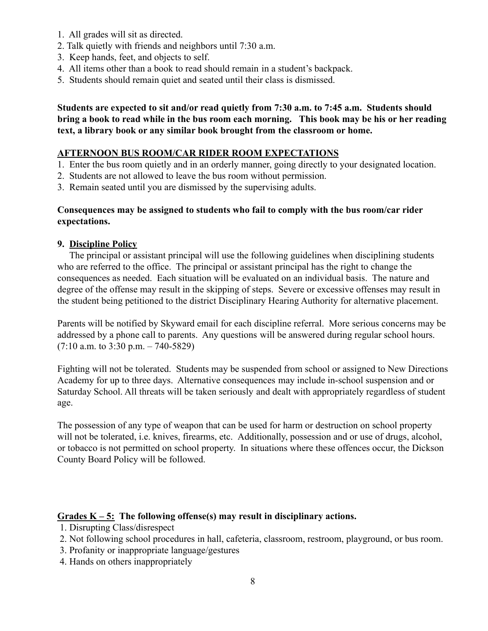- 1. All grades will sit as directed.
- 2. Talk quietly with friends and neighbors until 7:30 a.m.
- 3. Keep hands, feet, and objects to self.
- 4. All items other than a book to read should remain in a student's backpack.
- 5. Students should remain quiet and seated until their class is dismissed.

**Students are expected to sit and/or read quietly from 7:30 a.m. to 7:45 a.m. Students should bring a book to read while in the bus room each morning. This book may be his or her reading text, a library book or any similar book brought from the classroom or home.**

## **AFTERNOON BUS ROOM/CAR RIDER ROOM EXPECTATIONS**

- 1. Enter the bus room quietly and in an orderly manner, going directly to your designated location.
- 2. Students are not allowed to leave the bus room without permission.
- 3. Remain seated until you are dismissed by the supervising adults.

## **Consequences may be assigned to students who fail to comply with the bus room/car rider expectations.**

## **9. Discipline Policy**

The principal or assistant principal will use the following guidelines when disciplining students who are referred to the office. The principal or assistant principal has the right to change the consequences as needed. Each situation will be evaluated on an individual basis. The nature and degree of the offense may result in the skipping of steps. Severe or excessive offenses may result in the student being petitioned to the district Disciplinary Hearing Authority for alternative placement.

Parents will be notified by Skyward email for each discipline referral. More serious concerns may be addressed by a phone call to parents. Any questions will be answered during regular school hours.  $(7:10$  a.m. to 3:30 p.m.  $-740-5829$ )

Fighting will not be tolerated. Students may be suspended from school or assigned to New Directions Academy for up to three days. Alternative consequences may include in-school suspension and or Saturday School. All threats will be taken seriously and dealt with appropriately regardless of student age.

The possession of any type of weapon that can be used for harm or destruction on school property will not be tolerated, i.e. knives, firearms, etc. Additionally, possession and or use of drugs, alcohol, or tobacco is not permitted on school property. In situations where these offences occur, the Dickson County Board Policy will be followed.

## Grades  $K - 5$ : The following offense(s) may result in disciplinary actions.

- 1. Disrupting Class/disrespect
- 2. Not following school procedures in hall, cafeteria, classroom, restroom, playground, or bus room.
- 3. Profanity or inappropriate language/gestures
- 4. Hands on others inappropriately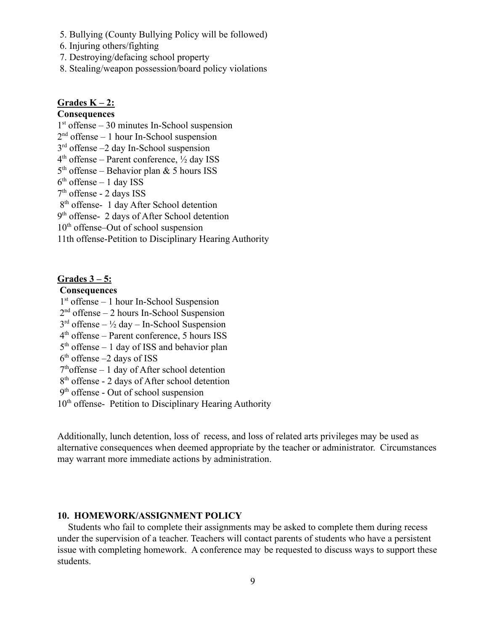- 5. Bullying (County Bullying Policy will be followed)
- 6. Injuring others/fighting
- 7. Destroying/defacing school property
- 8. Stealing/weapon possession/board policy violations

## **Grades K – 2:**

## **Consequences**

1 st offense – 30 minutes In-School suspension

 $2<sup>nd</sup>$  offense – 1 hour In-School suspension

- 3 rd offense –2 day In-School suspension
- $4<sup>th</sup>$  offense Parent conference,  $\frac{1}{2}$  day ISS
- $5<sup>th</sup>$  offense Behavior plan & 5 hours ISS
- $6<sup>th</sup>$  offense 1 day ISS
- 7 th offense 2 days ISS

8<sup>th</sup> offense- 1 day After School detention

9<sup>th</sup> offense- 2 days of After School detention

 $10<sup>th</sup>$  offense–Out of school suspension

11th offense-Petition to Disciplinary Hearing Authority

## **Grades 3 – 5:**

#### **Consequences**

- 1 st offense 1 hour In-School Suspension
- 2 nd offense 2 hours In-School Suspension
- $3<sup>rd</sup>$  offense  $\frac{1}{2}$  day In-School Suspension
- 4 th offense Parent conference, 5 hours ISS
- $5<sup>th</sup>$  offense 1 day of ISS and behavior plan
- $6<sup>th</sup>$  offense  $-2$  days of ISS
- $7<sup>th</sup>$  of fense 1 day of After school detention
- 8<sup>th</sup> offense 2 days of After school detention
- 9<sup>th</sup> offense Out of school suspension
- 10<sup>th</sup> offense- Petition to Disciplinary Hearing Authority

Additionally, lunch detention, loss of recess, and loss of related arts privileges may be used as alternative consequences when deemed appropriate by the teacher or administrator. Circumstances may warrant more immediate actions by administration.

#### **10. HOMEWORK/ASSIGNMENT POLICY**

Students who fail to complete their assignments may be asked to complete them during recess under the supervision of a teacher. Teachers will contact parents of students who have a persistent issue with completing homework. A conference may be requested to discuss ways to support these students.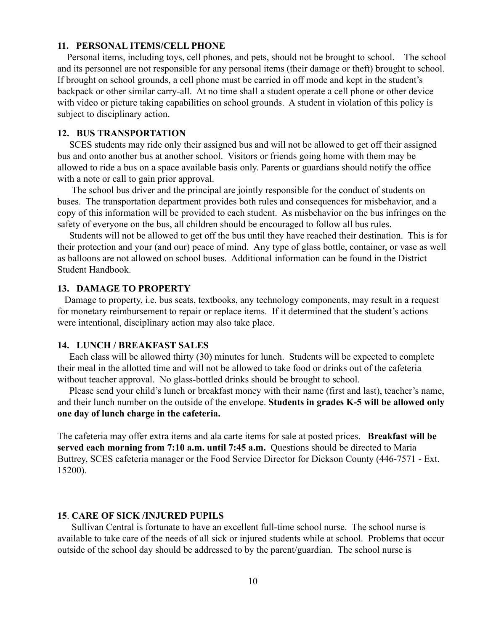#### **11. PERSONAL ITEMS/CELL PHONE**

Personal items, including toys, cell phones, and pets, should not be brought to school. The school and its personnel are not responsible for any personal items (their damage or theft) brought to school. If brought on school grounds, a cell phone must be carried in off mode and kept in the student's backpack or other similar carry-all. At no time shall a student operate a cell phone or other device with video or picture taking capabilities on school grounds. A student in violation of this policy is subject to disciplinary action.

#### **12. BUS TRANSPORTATION**

SCES students may ride only their assigned bus and will not be allowed to get off their assigned bus and onto another bus at another school. Visitors or friends going home with them may be allowed to ride a bus on a space available basis only. Parents or guardians should notify the office with a note or call to gain prior approval.

The school bus driver and the principal are jointly responsible for the conduct of students on buses. The transportation department provides both rules and consequences for misbehavior, and a copy of this information will be provided to each student. As misbehavior on the bus infringes on the safety of everyone on the bus, all children should be encouraged to follow all bus rules.

Students will not be allowed to get off the bus until they have reached their destination. This is for their protection and your (and our) peace of mind. Any type of glass bottle, container, or vase as well as balloons are not allowed on school buses. Additional information can be found in the District Student Handbook.

#### **13. DAMAGE TO PROPERTY**

Damage to property, i.e. bus seats, textbooks, any technology components, may result in a request for monetary reimbursement to repair or replace items. If it determined that the student's actions were intentional, disciplinary action may also take place.

#### **14. LUNCH / BREAKFAST SALES**

Each class will be allowed thirty (30) minutes for lunch. Students will be expected to complete their meal in the allotted time and will not be allowed to take food or drinks out of the cafeteria without teacher approval. No glass-bottled drinks should be brought to school.

Please send your child's lunch or breakfast money with their name (first and last), teacher's name, and their lunch number on the outside of the envelope. **Students in grades K-5 will be allowed only one day of lunch charge in the cafeteria.**

The cafeteria may offer extra items and ala carte items for sale at posted prices. **Breakfast will be served each morning from 7:10 a.m. until 7:45 a.m.** Questions should be directed to Maria Buttrey, SCES cafeteria manager or the Food Service Director for Dickson County (446-7571 - Ext. 15200).

#### **15**. **CARE OF SICK /INJURED PUPILS**

Sullivan Central is fortunate to have an excellent full-time school nurse. The school nurse is available to take care of the needs of all sick or injured students while at school. Problems that occur outside of the school day should be addressed to by the parent/guardian. The school nurse is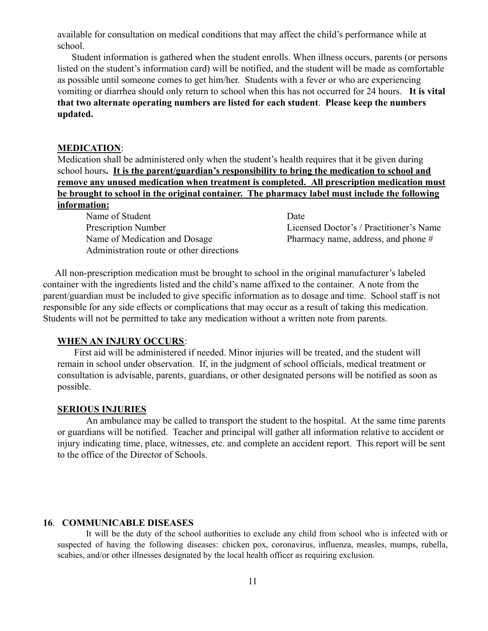available for consultation on medical conditions that may affect the child's performance while at school.

Student information is gathered when the student enrolls. When illness occurs, parents (or persons listed on the student's information card) will be notified, and the student will be made as comfortable as possible until someone comes to get him/her. Students with a fever or who are experiencing vomiting or diarrhea should only return to school when this has not occurred for 24 hours. **It is vital that two alternate operating numbers are listed for each student**. **Please keep the numbers updated.**

#### **MEDICATION**:

Medication shall be administered only when the student's health requires that it be given during school hours**. It is the parent/guardian's responsibility to bring the medication to school and remove any unused medication when treatment is completed. All prescription medication must be brought to school in the original container. The pharmacy label must include the following information:**

Name of Student Date Name of Medication and Dosage Pharmacy name, address, and phone # Administration route or other directions

Prescription Number Licensed Doctor's / Practitioner's Name

All non-prescription medication must be brought to school in the original manufacturer's labeled container with the ingredients listed and the child's name affixed to the container. A note from the parent/guardian must be included to give specific information as to dosage and time. School staff is not responsible for any side effects or complications that may occur as a result of taking this medication. Students will not be permitted to take any medication without a written note from parents.

#### **WHEN AN INJURY OCCURS**:

First aid will be administered if needed. Minor injuries will be treated, and the student will remain in school under observation. If, in the judgment of school officials, medical treatment or consultation is advisable, parents, guardians, or other designated persons will be notified as soon as possible.

## **SERIOUS INJURIES**

An ambulance may be called to transport the student to the hospital. At the same time parents or guardians will be notified. Teacher and principal will gather all information relative to accident or injury indicating time, place, witnesses, etc. and complete an accident report. This report will be sent to the office of the Director of Schools.

#### **16**. **COMMUNICABLE DISEASES**

It will be the duty of the school authorities to exclude any child from school who is infected with or suspected of having the following diseases: chicken pox, coronavirus, influenza, measles, mumps, rubella, scabies, and/or other illnesses designated by the local health officer as requiring exclusion.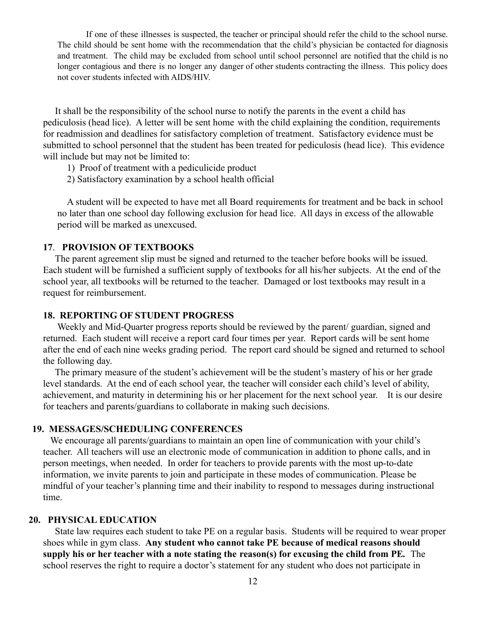If one of these illnesses is suspected, the teacher or principal should refer the child to the school nurse. The child should be sent home with the recommendation that the child's physician be contacted for diagnosis and treatment. The child may be excluded from school until school personnel are notified that the child is no longer contagious and there is no longer any danger of other students contracting the illness. This policy does not cover students infected with AIDS/HIV.

It shall be the responsibility of the school nurse to notify the parents in the event a child has pediculosis (head lice). A letter will be sent home with the child explaining the condition, requirements for readmission and deadlines for satisfactory completion of treatment. Satisfactory evidence must be submitted to school personnel that the student has been treated for pediculosis (head lice). This evidence will include but may not be limited to:

- 1) Proof of treatment with a pediculicide product
- 2) Satisfactory examination by a school health official

A student will be expected to have met all Board requirements for treatment and be back in school no later than one school day following exclusion for head lice. All days in excess of the allowable period will be marked as unexcused.

#### **17**. **PROVISION OF TEXTBOOKS**

The parent agreement slip must be signed and returned to the teacher before books will be issued. Each student will be furnished a sufficient supply of textbooks for all his/her subjects. At the end of the school year, all textbooks will be returned to the teacher. Damaged or lost textbooks may result in a request for reimbursement.

#### **18. REPORTING OF STUDENT PROGRESS**

Weekly and Mid-Quarter progress reports should be reviewed by the parent/ guardian, signed and returned. Each student will receive a report card four times per year. Report cards will be sent home after the end of each nine weeks grading period. The report card should be signed and returned to school the following day.

The primary measure of the student's achievement will be the student's mastery of his or her grade level standards. At the end of each school year, the teacher will consider each child's level of ability, achievement, and maturity in determining his or her placement for the next school year. It is our desire for teachers and parents/guardians to collaborate in making such decisions.

#### **19. MESSAGES/SCHEDULING CONFERENCES**

We encourage all parents/guardians to maintain an open line of communication with your child's teacher. All teachers will use an electronic mode of communication in addition to phone calls, and in person meetings, when needed. In order for teachers to provide parents with the most up-to-date information, we invite parents to join and participate in these modes of communication. Please be mindful of your teacher's planning time and their inability to respond to messages during instructional time.

#### **20. PHYSICAL EDUCATION**

State law requires each student to take PE on a regular basis. Students will be required to wear proper shoes while in gym class. **Any student who cannot take PE because of medical reasons should supply his or her teacher with a note stating the reason(s) for excusing the child from PE***.* The school reserves the right to require a doctor's statement for any student who does not participate in